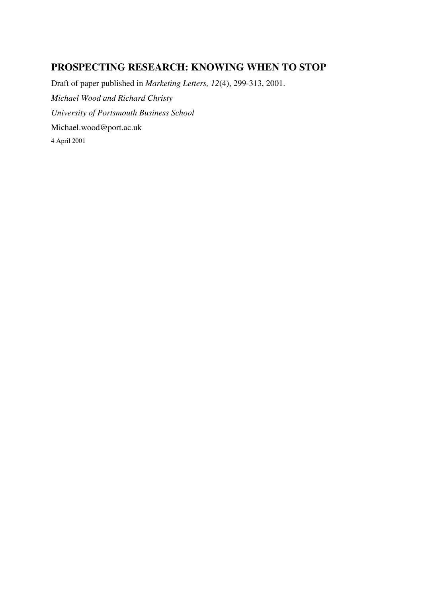# **PROSPECTING RESEARCH: KNOWING WHEN TO STOP**

Draft of paper published in *Marketing Letters, 12*(4), 299-313, 2001. *Michael Wood and Richard Christy University of Portsmouth Business School* Michael.wood@port.ac.uk 4 April 2001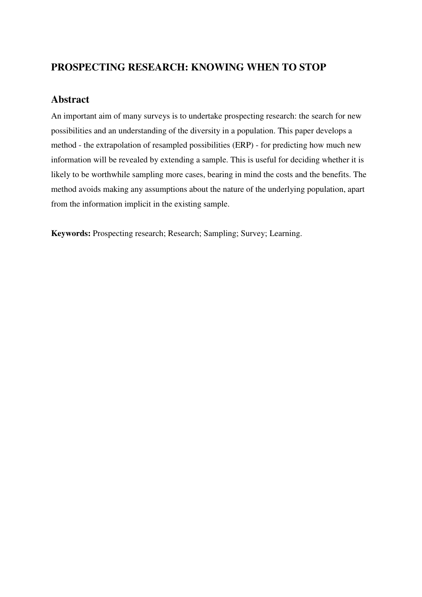# **PROSPECTING RESEARCH: KNOWING WHEN TO STOP**

# **Abstract**

An important aim of many surveys is to undertake prospecting research: the search for new possibilities and an understanding of the diversity in a population. This paper develops a method - the extrapolation of resampled possibilities (ERP) - for predicting how much new information will be revealed by extending a sample. This is useful for deciding whether it is likely to be worthwhile sampling more cases, bearing in mind the costs and the benefits. The method avoids making any assumptions about the nature of the underlying population, apart from the information implicit in the existing sample.

**Keywords:** Prospecting research; Research; Sampling; Survey; Learning.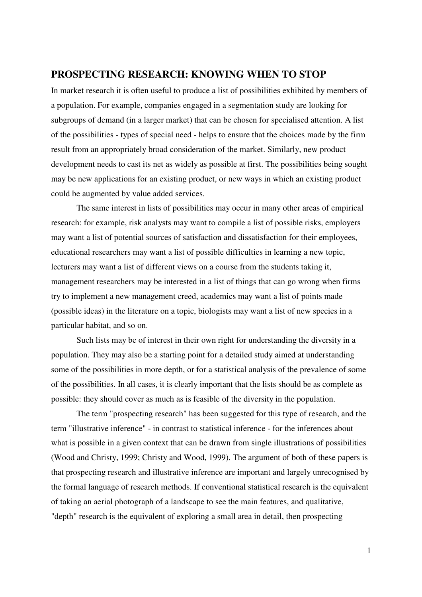# **PROSPECTING RESEARCH: KNOWING WHEN TO STOP**

In market research it is often useful to produce a list of possibilities exhibited by members of a population. For example, companies engaged in a segmentation study are looking for subgroups of demand (in a larger market) that can be chosen for specialised attention. A list of the possibilities - types of special need - helps to ensure that the choices made by the firm result from an appropriately broad consideration of the market. Similarly, new product development needs to cast its net as widely as possible at first. The possibilities being sought may be new applications for an existing product, or new ways in which an existing product could be augmented by value added services.

 The same interest in lists of possibilities may occur in many other areas of empirical research: for example, risk analysts may want to compile a list of possible risks, employers may want a list of potential sources of satisfaction and dissatisfaction for their employees, educational researchers may want a list of possible difficulties in learning a new topic, lecturers may want a list of different views on a course from the students taking it, management researchers may be interested in a list of things that can go wrong when firms try to implement a new management creed, academics may want a list of points made (possible ideas) in the literature on a topic, biologists may want a list of new species in a particular habitat, and so on.

 Such lists may be of interest in their own right for understanding the diversity in a population. They may also be a starting point for a detailed study aimed at understanding some of the possibilities in more depth, or for a statistical analysis of the prevalence of some of the possibilities. In all cases, it is clearly important that the lists should be as complete as possible: they should cover as much as is feasible of the diversity in the population.

 The term "prospecting research" has been suggested for this type of research, and the term "illustrative inference" - in contrast to statistical inference - for the inferences about what is possible in a given context that can be drawn from single illustrations of possibilities (Wood and Christy, 1999; Christy and Wood, 1999). The argument of both of these papers is that prospecting research and illustrative inference are important and largely unrecognised by the formal language of research methods. If conventional statistical research is the equivalent of taking an aerial photograph of a landscape to see the main features, and qualitative, "depth" research is the equivalent of exploring a small area in detail, then prospecting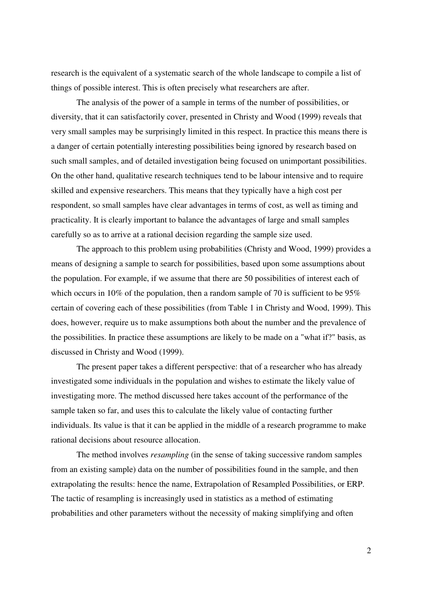research is the equivalent of a systematic search of the whole landscape to compile a list of things of possible interest. This is often precisely what researchers are after.

 The analysis of the power of a sample in terms of the number of possibilities, or diversity, that it can satisfactorily cover, presented in Christy and Wood (1999) reveals that very small samples may be surprisingly limited in this respect. In practice this means there is a danger of certain potentially interesting possibilities being ignored by research based on such small samples, and of detailed investigation being focused on unimportant possibilities. On the other hand, qualitative research techniques tend to be labour intensive and to require skilled and expensive researchers. This means that they typically have a high cost per respondent, so small samples have clear advantages in terms of cost, as well as timing and practicality. It is clearly important to balance the advantages of large and small samples carefully so as to arrive at a rational decision regarding the sample size used.

 The approach to this problem using probabilities (Christy and Wood, 1999) provides a means of designing a sample to search for possibilities, based upon some assumptions about the population. For example, if we assume that there are 50 possibilities of interest each of which occurs in 10% of the population, then a random sample of 70 is sufficient to be 95% certain of covering each of these possibilities (from Table 1 in Christy and Wood, 1999). This does, however, require us to make assumptions both about the number and the prevalence of the possibilities. In practice these assumptions are likely to be made on a "what if?" basis, as discussed in Christy and Wood (1999).

 The present paper takes a different perspective: that of a researcher who has already investigated some individuals in the population and wishes to estimate the likely value of investigating more. The method discussed here takes account of the performance of the sample taken so far, and uses this to calculate the likely value of contacting further individuals. Its value is that it can be applied in the middle of a research programme to make rational decisions about resource allocation.

 The method involves *resampling* (in the sense of taking successive random samples from an existing sample) data on the number of possibilities found in the sample, and then extrapolating the results: hence the name, Extrapolation of Resampled Possibilities, or ERP. The tactic of resampling is increasingly used in statistics as a method of estimating probabilities and other parameters without the necessity of making simplifying and often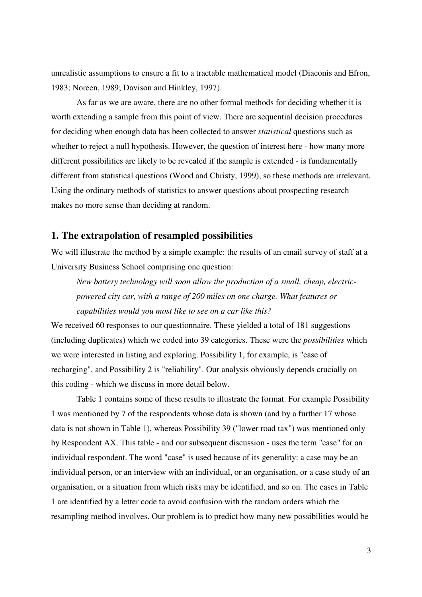unrealistic assumptions to ensure a fit to a tractable mathematical model (Diaconis and Efron, 1983; Noreen, 1989; Davison and Hinkley, 1997).

 As far as we are aware, there are no other formal methods for deciding whether it is worth extending a sample from this point of view. There are sequential decision procedures for deciding when enough data has been collected to answer *statistical* questions such as whether to reject a null hypothesis. However, the question of interest here - how many more different possibilities are likely to be revealed if the sample is extended - is fundamentally different from statistical questions (Wood and Christy, 1999), so these methods are irrelevant. Using the ordinary methods of statistics to answer questions about prospecting research makes no more sense than deciding at random.

# **1. The extrapolation of resampled possibilities**

We will illustrate the method by a simple example: the results of an email survey of staff at a University Business School comprising one question:

*New battery technology will soon allow the production of a small, cheap, electricpowered city car, with a range of 200 miles on one charge. What features or capabilities would you most like to see on a car like this?*

We received 60 responses to our questionnaire. These yielded a total of 181 suggestions (including duplicates) which we coded into 39 categories. These were the *possibilities* which we were interested in listing and exploring. Possibility 1, for example, is "ease of recharging", and Possibility 2 is "reliability". Our analysis obviously depends crucially on this coding - which we discuss in more detail below.

 Table 1 contains some of these results to illustrate the format. For example Possibility 1 was mentioned by 7 of the respondents whose data is shown (and by a further 17 whose data is not shown in Table 1), whereas Possibility 39 ("lower road tax") was mentioned only by Respondent AX. This table - and our subsequent discussion - uses the term "case" for an individual respondent. The word "case" is used because of its generality: a case may be an individual person, or an interview with an individual, or an organisation, or a case study of an organisation, or a situation from which risks may be identified, and so on. The cases in Table 1 are identified by a letter code to avoid confusion with the random orders which the resampling method involves. Our problem is to predict how many new possibilities would be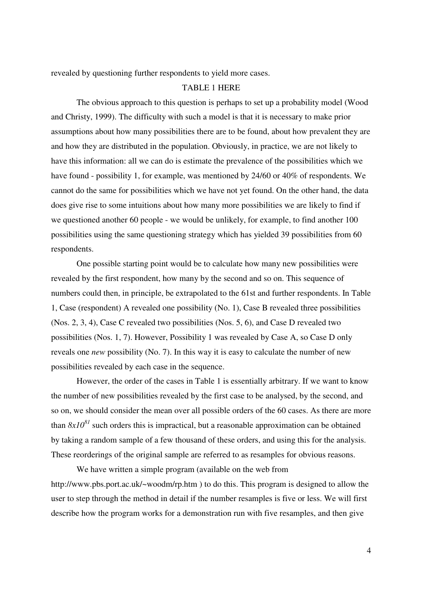revealed by questioning further respondents to yield more cases.

#### TABLE 1 HERE

 The obvious approach to this question is perhaps to set up a probability model (Wood and Christy, 1999). The difficulty with such a model is that it is necessary to make prior assumptions about how many possibilities there are to be found, about how prevalent they are and how they are distributed in the population. Obviously, in practice, we are not likely to have this information: all we can do is estimate the prevalence of the possibilities which we have found - possibility 1, for example, was mentioned by 24/60 or 40% of respondents. We cannot do the same for possibilities which we have not yet found. On the other hand, the data does give rise to some intuitions about how many more possibilities we are likely to find if we questioned another 60 people - we would be unlikely, for example, to find another 100 possibilities using the same questioning strategy which has yielded 39 possibilities from 60 respondents.

 One possible starting point would be to calculate how many new possibilities were revealed by the first respondent, how many by the second and so on. This sequence of numbers could then, in principle, be extrapolated to the 61st and further respondents. In Table 1, Case (respondent) A revealed one possibility (No. 1), Case B revealed three possibilities (Nos. 2, 3, 4), Case C revealed two possibilities (Nos. 5, 6), and Case D revealed two possibilities (Nos. 1, 7). However, Possibility 1 was revealed by Case A, so Case D only reveals one *new* possibility (No. 7). In this way it is easy to calculate the number of new possibilities revealed by each case in the sequence.

 However, the order of the cases in Table 1 is essentially arbitrary. If we want to know the number of new possibilities revealed by the first case to be analysed, by the second, and so on, we should consider the mean over all possible orders of the 60 cases. As there are more than  $8x10^{81}$  such orders this is impractical, but a reasonable approximation can be obtained by taking a random sample of a few thousand of these orders, and using this for the analysis. These reorderings of the original sample are referred to as resamples for obvious reasons.

 We have written a simple program (available on the web from http://www.pbs.port.ac.uk/~woodm/rp.htm ) to do this. This program is designed to allow the user to step through the method in detail if the number resamples is five or less. We will first describe how the program works for a demonstration run with five resamples, and then give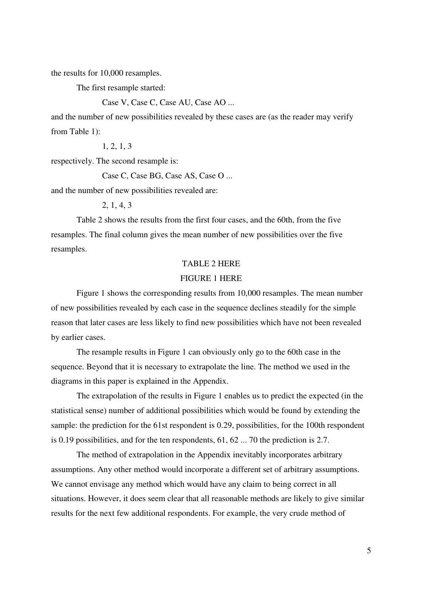the results for 10,000 resamples.

The first resample started:

Case V, Case C, Case AU, Case AO ...

and the number of new possibilities revealed by these cases are (as the reader may verify from Table 1):

1, 2, 1, 3

respectively. The second resample is:

Case C, Case BG, Case AS, Case O ...

and the number of new possibilities revealed are:

2, 1, 4, 3

 Table 2 shows the results from the first four cases, and the 60th, from the five resamples. The final column gives the mean number of new possibilities over the five resamples.

## TABLE 2 HERE

## FIGURE 1 HERE

 Figure 1 shows the corresponding results from 10,000 resamples. The mean number of new possibilities revealed by each case in the sequence declines steadily for the simple reason that later cases are less likely to find new possibilities which have not been revealed by earlier cases.

 The resample results in Figure 1 can obviously only go to the 60th case in the sequence. Beyond that it is necessary to extrapolate the line. The method we used in the diagrams in this paper is explained in the Appendix.

 The extrapolation of the results in Figure 1 enables us to predict the expected (in the statistical sense) number of additional possibilities which would be found by extending the sample: the prediction for the 61st respondent is 0.29, possibilities, for the 100th respondent is 0.19 possibilities, and for the ten respondents, 61, 62 ... 70 the prediction is 2.7.

 The method of extrapolation in the Appendix inevitably incorporates arbitrary assumptions. Any other method would incorporate a different set of arbitrary assumptions. We cannot envisage any method which would have any claim to being correct in all situations. However, it does seem clear that all reasonable methods are likely to give similar results for the next few additional respondents. For example, the very crude method of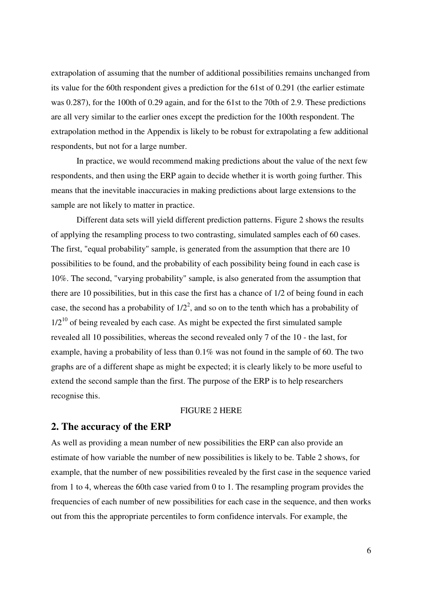extrapolation of assuming that the number of additional possibilities remains unchanged from its value for the 60th respondent gives a prediction for the 61st of 0.291 (the earlier estimate was 0.287), for the 100th of 0.29 again, and for the 61st to the 70th of 2.9. These predictions are all very similar to the earlier ones except the prediction for the 100th respondent. The extrapolation method in the Appendix is likely to be robust for extrapolating a few additional respondents, but not for a large number.

 In practice, we would recommend making predictions about the value of the next few respondents, and then using the ERP again to decide whether it is worth going further. This means that the inevitable inaccuracies in making predictions about large extensions to the sample are not likely to matter in practice.

 Different data sets will yield different prediction patterns. Figure 2 shows the results of applying the resampling process to two contrasting, simulated samples each of 60 cases. The first, "equal probability" sample, is generated from the assumption that there are 10 possibilities to be found, and the probability of each possibility being found in each case is 10%. The second, "varying probability" sample, is also generated from the assumption that there are 10 possibilities, but in this case the first has a chance of 1/2 of being found in each case, the second has a probability of  $1/2<sup>2</sup>$ , and so on to the tenth which has a probability of  $1/2^{10}$  of being revealed by each case. As might be expected the first simulated sample revealed all 10 possibilities, whereas the second revealed only 7 of the 10 - the last, for example, having a probability of less than 0.1% was not found in the sample of 60. The two graphs are of a different shape as might be expected; it is clearly likely to be more useful to extend the second sample than the first. The purpose of the ERP is to help researchers recognise this.

#### FIGURE 2 HERE

# **2. The accuracy of the ERP**

As well as providing a mean number of new possibilities the ERP can also provide an estimate of how variable the number of new possibilities is likely to be. Table 2 shows, for example, that the number of new possibilities revealed by the first case in the sequence varied from 1 to 4, whereas the 60th case varied from 0 to 1. The resampling program provides the frequencies of each number of new possibilities for each case in the sequence, and then works out from this the appropriate percentiles to form confidence intervals. For example, the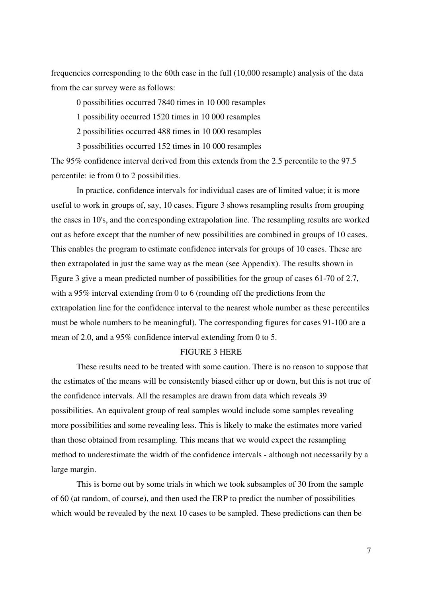frequencies corresponding to the 60th case in the full (10,000 resample) analysis of the data from the car survey were as follows:

0 possibilities occurred 7840 times in 10 000 resamples

1 possibility occurred 1520 times in 10 000 resamples

2 possibilities occurred 488 times in 10 000 resamples

3 possibilities occurred 152 times in 10 000 resamples

The 95% confidence interval derived from this extends from the 2.5 percentile to the 97.5 percentile: ie from 0 to 2 possibilities.

 In practice, confidence intervals for individual cases are of limited value; it is more useful to work in groups of, say, 10 cases. Figure 3 shows resampling results from grouping the cases in 10's, and the corresponding extrapolation line. The resampling results are worked out as before except that the number of new possibilities are combined in groups of 10 cases. This enables the program to estimate confidence intervals for groups of 10 cases. These are then extrapolated in just the same way as the mean (see Appendix). The results shown in Figure 3 give a mean predicted number of possibilities for the group of cases 61-70 of 2.7, with a 95% interval extending from 0 to 6 (rounding off the predictions from the extrapolation line for the confidence interval to the nearest whole number as these percentiles must be whole numbers to be meaningful). The corresponding figures for cases 91-100 are a mean of 2.0, and a 95% confidence interval extending from 0 to 5.

#### FIGURE 3 HERE

 These results need to be treated with some caution. There is no reason to suppose that the estimates of the means will be consistently biased either up or down, but this is not true of the confidence intervals. All the resamples are drawn from data which reveals 39 possibilities. An equivalent group of real samples would include some samples revealing more possibilities and some revealing less. This is likely to make the estimates more varied than those obtained from resampling. This means that we would expect the resampling method to underestimate the width of the confidence intervals - although not necessarily by a large margin.

 This is borne out by some trials in which we took subsamples of 30 from the sample of 60 (at random, of course), and then used the ERP to predict the number of possibilities which would be revealed by the next 10 cases to be sampled. These predictions can then be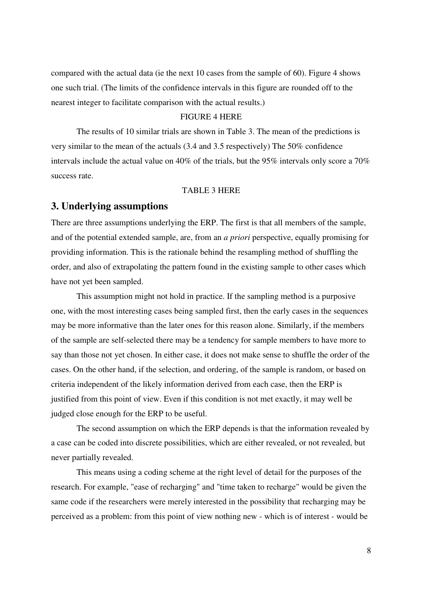compared with the actual data (ie the next 10 cases from the sample of 60). Figure 4 shows one such trial. (The limits of the confidence intervals in this figure are rounded off to the nearest integer to facilitate comparison with the actual results.)

### FIGURE 4 HERE

 The results of 10 similar trials are shown in Table 3. The mean of the predictions is very similar to the mean of the actuals (3.4 and 3.5 respectively) The 50% confidence intervals include the actual value on 40% of the trials, but the 95% intervals only score a 70% success rate.

### TABLE 3 HERE

### **3. Underlying assumptions**

There are three assumptions underlying the ERP. The first is that all members of the sample, and of the potential extended sample, are, from an *a priori* perspective, equally promising for providing information. This is the rationale behind the resampling method of shuffling the order, and also of extrapolating the pattern found in the existing sample to other cases which have not yet been sampled.

 This assumption might not hold in practice. If the sampling method is a purposive one, with the most interesting cases being sampled first, then the early cases in the sequences may be more informative than the later ones for this reason alone. Similarly, if the members of the sample are self-selected there may be a tendency for sample members to have more to say than those not yet chosen. In either case, it does not make sense to shuffle the order of the cases. On the other hand, if the selection, and ordering, of the sample is random, or based on criteria independent of the likely information derived from each case, then the ERP is justified from this point of view. Even if this condition is not met exactly, it may well be judged close enough for the ERP to be useful.

 The second assumption on which the ERP depends is that the information revealed by a case can be coded into discrete possibilities, which are either revealed, or not revealed, but never partially revealed.

 This means using a coding scheme at the right level of detail for the purposes of the research. For example, "ease of recharging" and "time taken to recharge" would be given the same code if the researchers were merely interested in the possibility that recharging may be perceived as a problem: from this point of view nothing new - which is of interest - would be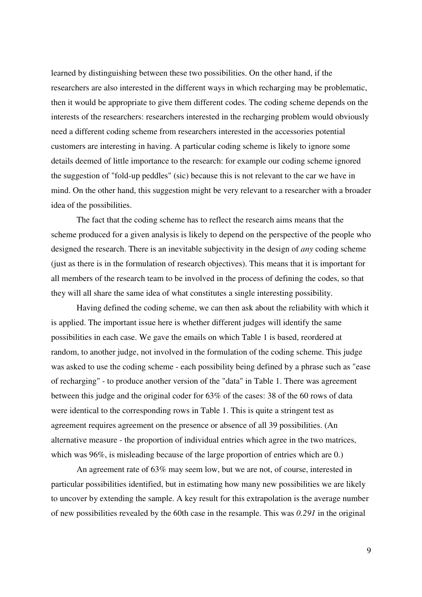learned by distinguishing between these two possibilities. On the other hand, if the researchers are also interested in the different ways in which recharging may be problematic, then it would be appropriate to give them different codes. The coding scheme depends on the interests of the researchers: researchers interested in the recharging problem would obviously need a different coding scheme from researchers interested in the accessories potential customers are interesting in having. A particular coding scheme is likely to ignore some details deemed of little importance to the research: for example our coding scheme ignored the suggestion of "fold-up peddles" (sic) because this is not relevant to the car we have in mind. On the other hand, this suggestion might be very relevant to a researcher with a broader idea of the possibilities.

 The fact that the coding scheme has to reflect the research aims means that the scheme produced for a given analysis is likely to depend on the perspective of the people who designed the research. There is an inevitable subjectivity in the design of *any* coding scheme (just as there is in the formulation of research objectives). This means that it is important for all members of the research team to be involved in the process of defining the codes, so that they will all share the same idea of what constitutes a single interesting possibility.

 Having defined the coding scheme, we can then ask about the reliability with which it is applied. The important issue here is whether different judges will identify the same possibilities in each case. We gave the emails on which Table 1 is based, reordered at random, to another judge, not involved in the formulation of the coding scheme. This judge was asked to use the coding scheme - each possibility being defined by a phrase such as "ease of recharging" - to produce another version of the "data" in Table 1. There was agreement between this judge and the original coder for 63% of the cases: 38 of the 60 rows of data were identical to the corresponding rows in Table 1. This is quite a stringent test as agreement requires agreement on the presence or absence of all 39 possibilities. (An alternative measure - the proportion of individual entries which agree in the two matrices, which was 96%, is misleading because of the large proportion of entries which are 0.)

An agreement rate of 63% may seem low, but we are not, of course, interested in particular possibilities identified, but in estimating how many new possibilities we are likely to uncover by extending the sample. A key result for this extrapolation is the average number of new possibilities revealed by the 60th case in the resample. This was *0.291* in the original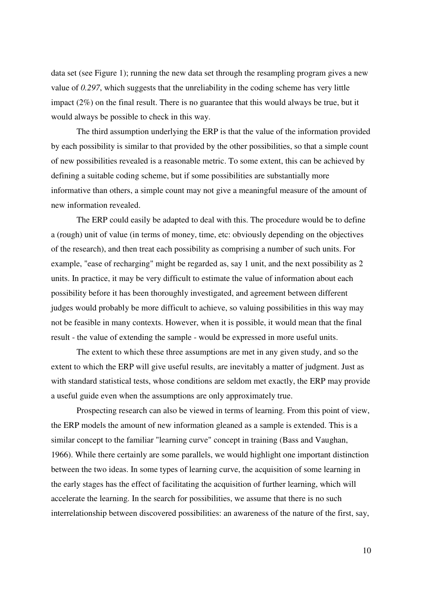data set (see Figure 1); running the new data set through the resampling program gives a new value of *0.297*, which suggests that the unreliability in the coding scheme has very little impact (2%) on the final result. There is no guarantee that this would always be true, but it would always be possible to check in this way.

 The third assumption underlying the ERP is that the value of the information provided by each possibility is similar to that provided by the other possibilities, so that a simple count of new possibilities revealed is a reasonable metric. To some extent, this can be achieved by defining a suitable coding scheme, but if some possibilities are substantially more informative than others, a simple count may not give a meaningful measure of the amount of new information revealed.

 The ERP could easily be adapted to deal with this. The procedure would be to define a (rough) unit of value (in terms of money, time, etc: obviously depending on the objectives of the research), and then treat each possibility as comprising a number of such units. For example, "ease of recharging" might be regarded as, say 1 unit, and the next possibility as 2 units. In practice, it may be very difficult to estimate the value of information about each possibility before it has been thoroughly investigated, and agreement between different judges would probably be more difficult to achieve, so valuing possibilities in this way may not be feasible in many contexts. However, when it is possible, it would mean that the final result - the value of extending the sample - would be expressed in more useful units.

 The extent to which these three assumptions are met in any given study, and so the extent to which the ERP will give useful results, are inevitably a matter of judgment. Just as with standard statistical tests, whose conditions are seldom met exactly, the ERP may provide a useful guide even when the assumptions are only approximately true.

 Prospecting research can also be viewed in terms of learning. From this point of view, the ERP models the amount of new information gleaned as a sample is extended. This is a similar concept to the familiar "learning curve" concept in training (Bass and Vaughan, 1966). While there certainly are some parallels, we would highlight one important distinction between the two ideas. In some types of learning curve, the acquisition of some learning in the early stages has the effect of facilitating the acquisition of further learning, which will accelerate the learning. In the search for possibilities, we assume that there is no such interrelationship between discovered possibilities: an awareness of the nature of the first, say,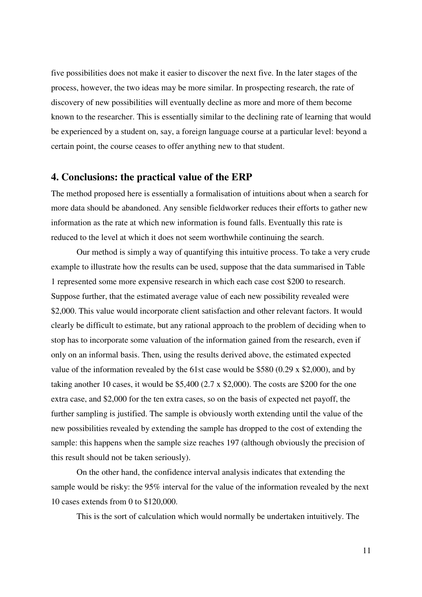five possibilities does not make it easier to discover the next five. In the later stages of the process, however, the two ideas may be more similar. In prospecting research, the rate of discovery of new possibilities will eventually decline as more and more of them become known to the researcher. This is essentially similar to the declining rate of learning that would be experienced by a student on, say, a foreign language course at a particular level: beyond a certain point, the course ceases to offer anything new to that student.

# **4. Conclusions: the practical value of the ERP**

The method proposed here is essentially a formalisation of intuitions about when a search for more data should be abandoned. Any sensible fieldworker reduces their efforts to gather new information as the rate at which new information is found falls. Eventually this rate is reduced to the level at which it does not seem worthwhile continuing the search.

 Our method is simply a way of quantifying this intuitive process. To take a very crude example to illustrate how the results can be used, suppose that the data summarised in Table 1 represented some more expensive research in which each case cost \$200 to research. Suppose further, that the estimated average value of each new possibility revealed were \$2,000. This value would incorporate client satisfaction and other relevant factors. It would clearly be difficult to estimate, but any rational approach to the problem of deciding when to stop has to incorporate some valuation of the information gained from the research, even if only on an informal basis. Then, using the results derived above, the estimated expected value of the information revealed by the 61st case would be \$580 (0.29 x \$2,000), and by taking another 10 cases, it would be \$5,400 (2.7 x \$2,000). The costs are \$200 for the one extra case, and \$2,000 for the ten extra cases, so on the basis of expected net payoff, the further sampling is justified. The sample is obviously worth extending until the value of the new possibilities revealed by extending the sample has dropped to the cost of extending the sample: this happens when the sample size reaches 197 (although obviously the precision of this result should not be taken seriously).

 On the other hand, the confidence interval analysis indicates that extending the sample would be risky: the 95% interval for the value of the information revealed by the next 10 cases extends from 0 to \$120,000.

This is the sort of calculation which would normally be undertaken intuitively. The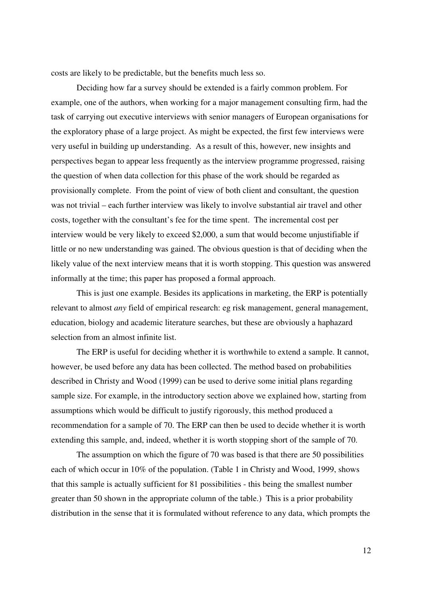costs are likely to be predictable, but the benefits much less so.

 Deciding how far a survey should be extended is a fairly common problem. For example, one of the authors, when working for a major management consulting firm, had the task of carrying out executive interviews with senior managers of European organisations for the exploratory phase of a large project. As might be expected, the first few interviews were very useful in building up understanding. As a result of this, however, new insights and perspectives began to appear less frequently as the interview programme progressed, raising the question of when data collection for this phase of the work should be regarded as provisionally complete. From the point of view of both client and consultant, the question was not trivial – each further interview was likely to involve substantial air travel and other costs, together with the consultant's fee for the time spent. The incremental cost per interview would be very likely to exceed \$2,000, a sum that would become unjustifiable if little or no new understanding was gained. The obvious question is that of deciding when the likely value of the next interview means that it is worth stopping. This question was answered informally at the time; this paper has proposed a formal approach.

 This is just one example. Besides its applications in marketing, the ERP is potentially relevant to almost *any* field of empirical research: eg risk management, general management, education, biology and academic literature searches, but these are obviously a haphazard selection from an almost infinite list.

 The ERP is useful for deciding whether it is worthwhile to extend a sample. It cannot, however, be used before any data has been collected. The method based on probabilities described in Christy and Wood (1999) can be used to derive some initial plans regarding sample size. For example, in the introductory section above we explained how, starting from assumptions which would be difficult to justify rigorously, this method produced a recommendation for a sample of 70. The ERP can then be used to decide whether it is worth extending this sample, and, indeed, whether it is worth stopping short of the sample of 70.

 The assumption on which the figure of 70 was based is that there are 50 possibilities each of which occur in 10% of the population. (Table 1 in Christy and Wood, 1999, shows that this sample is actually sufficient for 81 possibilities - this being the smallest number greater than 50 shown in the appropriate column of the table.) This is a prior probability distribution in the sense that it is formulated without reference to any data, which prompts the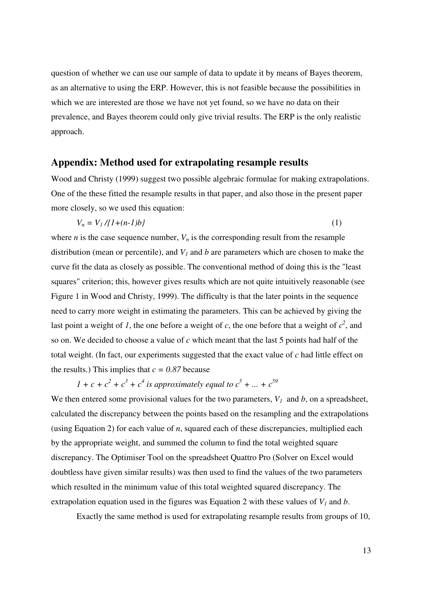question of whether we can use our sample of data to update it by means of Bayes theorem, as an alternative to using the ERP. However, this is not feasible because the possibilities in which we are interested are those we have not yet found, so we have no data on their prevalence, and Bayes theorem could only give trivial results. The ERP is the only realistic approach.

### **Appendix: Method used for extrapolating resample results**

Wood and Christy (1999) suggest two possible algebraic formulae for making extrapolations. One of the these fitted the resample results in that paper, and also those in the present paper more closely, so we used this equation:

$$
V_n = V_1 / \{1 + (n-1)b\}
$$
 (1)

where *n* is the case sequence number,  $V_n$  is the corresponding result from the resample distribution (mean or percentile), and *V1* and *b* are parameters which are chosen to make the curve fit the data as closely as possible. The conventional method of doing this is the "least squares" criterion; this, however gives results which are not quite intuitively reasonable (see Figure 1 in Wood and Christy, 1999). The difficulty is that the later points in the sequence need to carry more weight in estimating the parameters. This can be achieved by giving the last point a weight of *1*, the one before a weight of *c*, the one before that a weight of  $c^2$ , and so on. We decided to choose a value of *c* which meant that the last 5 points had half of the total weight. (In fact, our experiments suggested that the exact value of *c* had little effect on the results.) This implies that  $c = 0.87$  because

*1* + *c* +  $c^2$  +  $c^3$  +  $c^4$  is approximately equal to  $c^5$  + ... +  $c^{59}$ 

We then entered some provisional values for the two parameters,  $V_I$  and  $b$ , on a spreadsheet, calculated the discrepancy between the points based on the resampling and the extrapolations (using Equation 2) for each value of *n*, squared each of these discrepancies, multiplied each by the appropriate weight, and summed the column to find the total weighted square discrepancy. The Optimiser Tool on the spreadsheet Quattro Pro (Solver on Excel would doubtless have given similar results) was then used to find the values of the two parameters which resulted in the minimum value of this total weighted squared discrepancy. The extrapolation equation used in the figures was Equation 2 with these values of *V1* and *b*.

Exactly the same method is used for extrapolating resample results from groups of 10,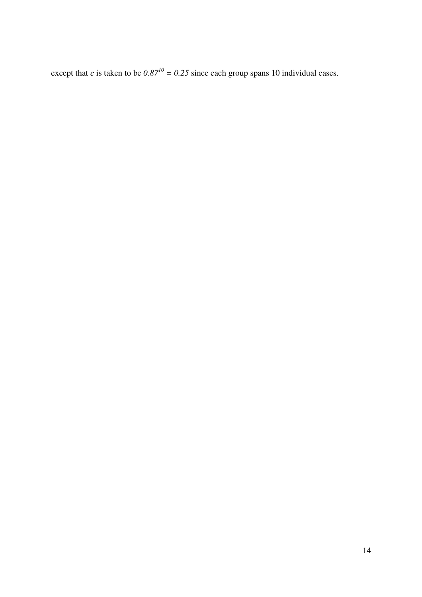except that *c* is taken to be  $0.87^{10} = 0.25$  since each group spans 10 individual cases.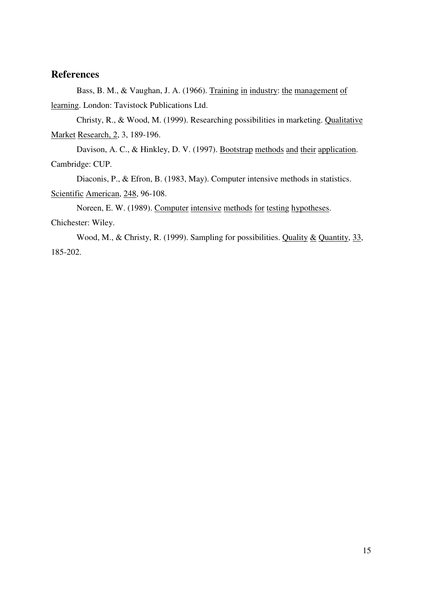# **References**

 Bass, B. M., & Vaughan, J. A. (1966). Training in industry: the management of learning. London: Tavistock Publications Ltd.

 Christy, R., & Wood, M. (1999). Researching possibilities in marketing. Qualitative Market Research, 2, 3, 189-196.

Davison, A. C., & Hinkley, D. V. (1997). Bootstrap methods and their application. Cambridge: CUP.

 Diaconis, P., & Efron, B. (1983, May). Computer intensive methods in statistics. Scientific American, 248, 96-108.

 Noreen, E. W. (1989). Computer intensive methods for testing hypotheses. Chichester: Wiley.

 Wood, M., & Christy, R. (1999). Sampling for possibilities. Quality & Quantity, 33, 185-202.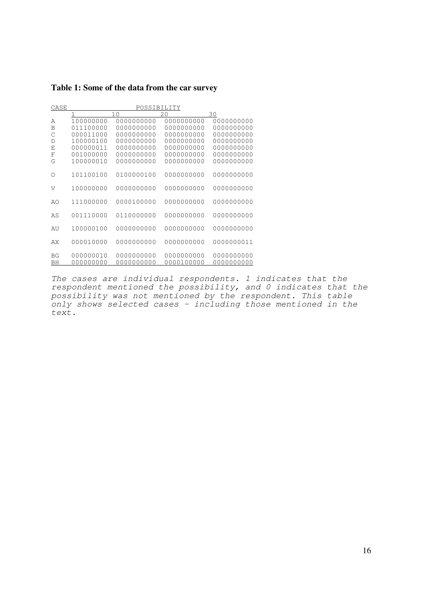| Table 1: Some of the data from the car survey |  |  |  |  |  |  |
|-----------------------------------------------|--|--|--|--|--|--|
|-----------------------------------------------|--|--|--|--|--|--|

| CASE                    | POSSIBILITY            |                          |                          |                          |  |  |  |
|-------------------------|------------------------|--------------------------|--------------------------|--------------------------|--|--|--|
|                         |                        | 10                       | 20                       | 30                       |  |  |  |
| Α                       | 100000000              | 0000000000               | 0000000000               | 0000000000               |  |  |  |
| B                       | 011100000              | 0000000000               | 0000000000               | 0000000000               |  |  |  |
| $\mathsf{C}$            | 000011000              | 0000000000               | 0000000000               | 0000000000               |  |  |  |
| D                       | 100000100              | 0000000000               | 0000000000               | 0000000000               |  |  |  |
| Ε                       | 000000011              | 0000000000               | 0000000000               | 0000000000               |  |  |  |
| $\overline{\mathrm{F}}$ | 001000000              | 0000000000               | 0000000000               | 0000000000               |  |  |  |
| G                       | 100000010              | 0000000000               | 0000000000               | 0000000000               |  |  |  |
| $\bigcirc$              | 101100100              | 0100000100               | 0000000000               | 0000000000               |  |  |  |
| $\overline{V}$          | 100000000              | 0000000000               | 0000000000               | 0000000000               |  |  |  |
| A0                      | 111000000              | 0000100000               | 0000000000               | 0000000000               |  |  |  |
| AS                      | 001110000              | 0110000000               | 0000000000               | 0000000000               |  |  |  |
| AU                      | 100000100              | 0000000000               | 0000000000               | 0000000000               |  |  |  |
| AX                      | 000010000              | 0000000000               | 0000000000               | 0000000011               |  |  |  |
| BG<br>BH                | 000000010<br>000000000 | 0000000000<br>0000000000 | 0000000000<br>0000100000 | 0000000000<br>0000000000 |  |  |  |

The cases are individual respondents. 1 indicates that the respondent mentioned the possibility, and 0 indicates that the possibility was not mentioned by the respondent. This table only shows selected cases - including those mentioned in the text.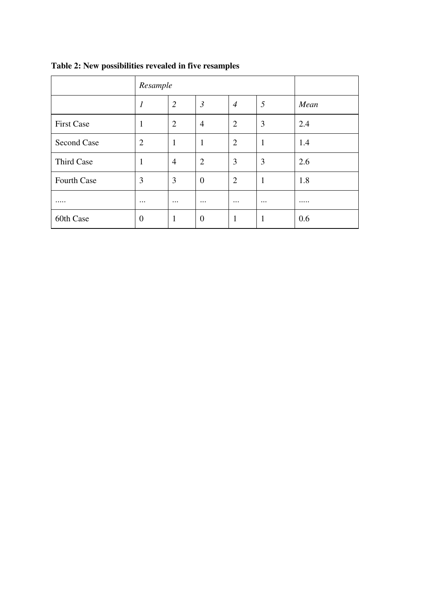|                   | Resample       |                |                |                |          |      |
|-------------------|----------------|----------------|----------------|----------------|----------|------|
|                   | $\overline{l}$ | $\overline{2}$ | $\mathfrak{Z}$ | $\overline{4}$ | 5        | Mean |
| <b>First Case</b> | $\mathbf{1}$   | $\overline{2}$ | $\overline{4}$ | 2              | 3        | 2.4  |
| Second Case       | $\overline{2}$ | $\mathbf{1}$   | $\mathbf{1}$   | 2              | 1        | 1.4  |
| Third Case        | $\mathbf{1}$   | $\overline{4}$ | 2              | 3              | 3        | 2.6  |
| Fourth Case       | 3              | 3              | $\theta$       | $\overline{2}$ | 1        | 1.8  |
|                   | $\cdots$       | $\cdots$       | $\cdots$       | $\cdots$       | $\cdots$ |      |
| 60th Case         | $\overline{0}$ | 1              | $\theta$       | 1              | 1        | 0.6  |

**Table 2: New possibilities revealed in five resamples**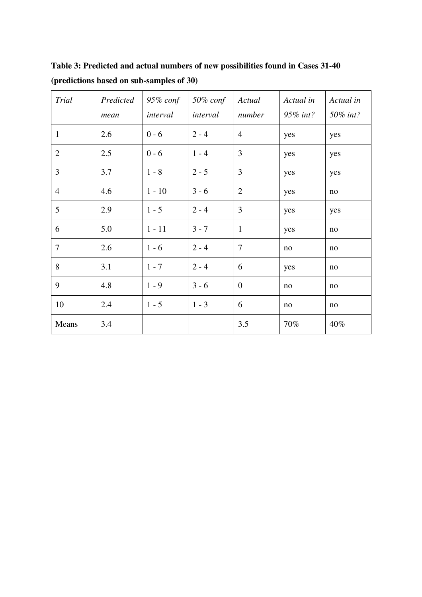*Trial Predicted mean 95% conf interval 50% conf interval Actual number Actual in 95% int? Actual in 50% int?* 1 2.6  $0 - 6$  2 - 4 4 yes yes 2 | 2.5 |  $0 - 6$  | 1 - 4 | 3 | yes | yes 3  $3.7$   $1 - 8$   $2 - 5$   $3$   $yes$  yes 4 | 4.6 | 1 - 10 | 3 - 6 | 2 | yes | no 5 2.9 1 - 5 2 - 4 3 yes yes 6  $\vert 5.0 \vert 1 - 11 \vert 3 - 7 \vert 1 \vert$  yes no  $7$  | 2.6 | 1 - 6 | 2 - 4 | 7 | no | no 8 | 3.1 | 1 - 7 | 2 - 4 | 6 | yes | no 9  $|4.8|$   $|1-9|$   $|3-6|$   $|0|$  no  $|10|$ 10 | 2.4 | 1 - 5 | 1 - 3 | 6 | no | no Means 3.4 1 3.5 70% 40%

**Table 3: Predicted and actual numbers of new possibilities found in Cases 31-40 (predictions based on sub-samples of 30)**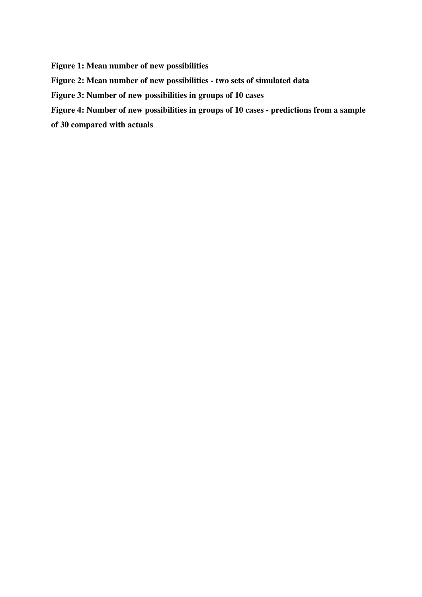**Figure 1: Mean number of new possibilities**

- **Figure 2: Mean number of new possibilities two sets of simulated data**
- **Figure 3: Number of new possibilities in groups of 10 cases**
- **Figure 4: Number of new possibilities in groups of 10 cases predictions from a sample**
- **of 30 compared with actuals**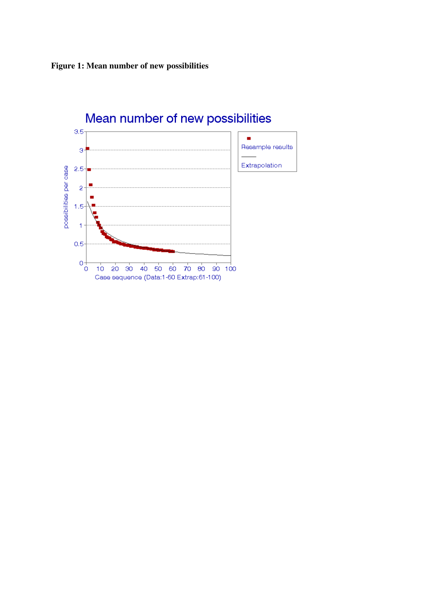**Figure 1: Mean number of new possibilities**

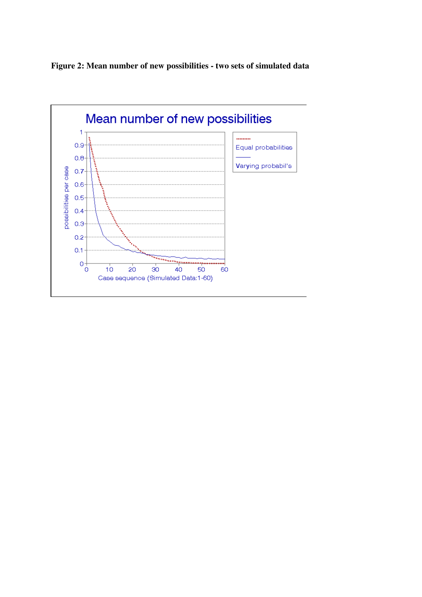**Figure 2: Mean number of new possibilities - two sets of simulated data**

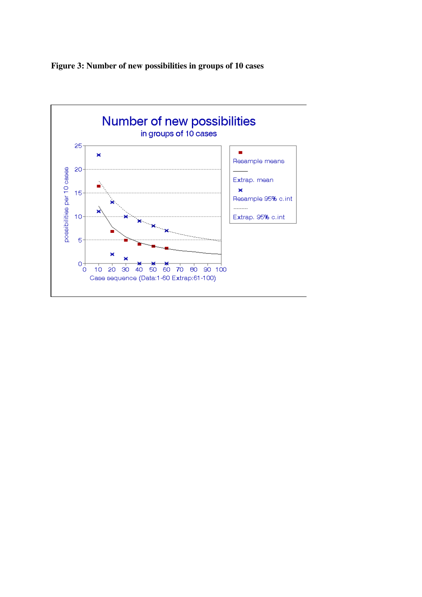